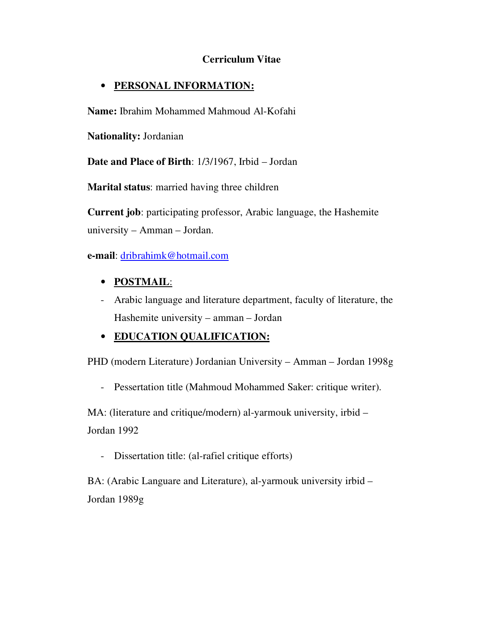### **Cerriculum Vitae**

### • **PERSONAL INFORMATION:**

**Name:** Ibrahim Mohammed Mahmoud Al-Kofahi

**Nationality:** Jordanian

**Date and Place of Birth**: 1/3/1967, Irbid – Jordan

**Marital status**: married having three children

**Current job**: participating professor, Arabic language, the Hashemite university – Amman – Jordan.

**e-mail**: dribrahimk@hotmail.com

# • **POSTMAIL**:

- Arabic language and literature department, faculty of literature, the Hashemite university – amman – Jordan

# • **EDUCATION QUALIFICATION:**

PHD (modern Literature) Jordanian University – Amman – Jordan 1998g

- Pessertation title (Mahmoud Mohammed Saker: critique writer).

MA: (literature and critique/modern) al-yarmouk university, irbid – Jordan 1992

- Dissertation title: (al-rafiel critique efforts)

BA: (Arabic Languare and Literature), al-yarmouk university irbid – Jordan 1989g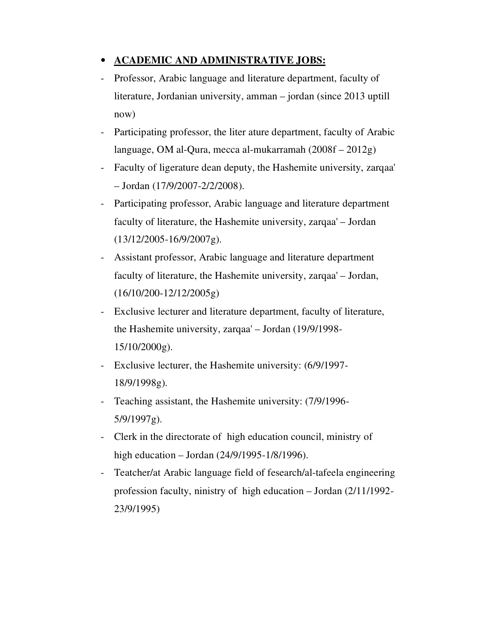# • **ACADEMIC AND ADMINISTRATIVE JOBS:**

- Professor, Arabic language and literature department, faculty of literature, Jordanian university, amman – jordan (since 2013 uptill now)
- Participating professor, the liter ature department, faculty of Arabic language, OM al-Qura, mecca al-mukarramah (2008f – 2012g)
- Faculty of ligerature dean deputy, the Hashemite university, zarqaa' – Jordan (17/9/2007-2/2/2008).
- Participating professor, Arabic language and literature department faculty of literature, the Hashemite university, zarqaa' – Jordan (13/12/2005-16/9/2007g).
- Assistant professor, Arabic language and literature department faculty of literature, the Hashemite university, zarqaa' – Jordan, (16/10/200-12/12/2005g)
- Exclusive lecturer and literature department, faculty of literature, the Hashemite university, zarqaa' – Jordan (19/9/1998- 15/10/2000g).
- Exclusive lecturer, the Hashemite university: (6/9/1997- 18/9/1998g).
- Teaching assistant, the Hashemite university: (7/9/1996- 5/9/1997g).
- Clerk in the directorate of high education council, ministry of high education – Jordan (24/9/1995-1/8/1996).
- Teatcher/at Arabic language field of fesearch/al-tafeela engineering profession faculty, ninistry of high education – Jordan (2/11/1992- 23/9/1995)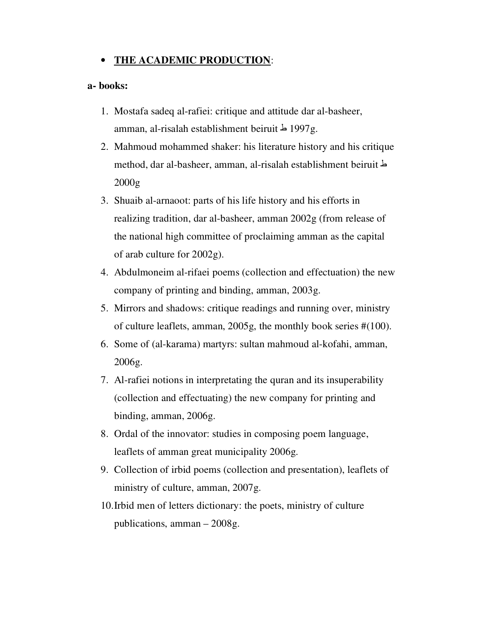### • **THE ACADEMIC PRODUCTION**:

#### **a- books:**

- 1. Mostafa sadeq al-rafiei: critique and attitude dar al-basheer, amman, al-risalah establishment beiruit  $\frac{1997g}{.}$
- 2. Mahmoud mohammed shaker: his literature history and his critique method, dar al-basheer, amman, al-risalah establishment beiruit ط 2000g
- 3. Shuaib al-arnaoot: parts of his life history and his efforts in realizing tradition, dar al-basheer, amman 2002g (from release of the national high committee of proclaiming amman as the capital of arab culture for 2002g).
- 4. Abdulmoneim al-rifaei poems (collection and effectuation) the new company of printing and binding, amman, 2003g.
- 5. Mirrors and shadows: critique readings and running over, ministry of culture leaflets, amman, 2005g, the monthly book series #(100).
- 6. Some of (al-karama) martyrs: sultan mahmoud al-kofahi, amman, 2006g.
- 7. Al-rafiei notions in interpretating the quran and its insuperability (collection and effectuating) the new company for printing and binding, amman, 2006g.
- 8. Ordal of the innovator: studies in composing poem language, leaflets of amman great municipality 2006g.
- 9. Collection of irbid poems (collection and presentation), leaflets of ministry of culture, amman, 2007g.
- 10.Irbid men of letters dictionary: the poets, ministry of culture publications, amman – 2008g.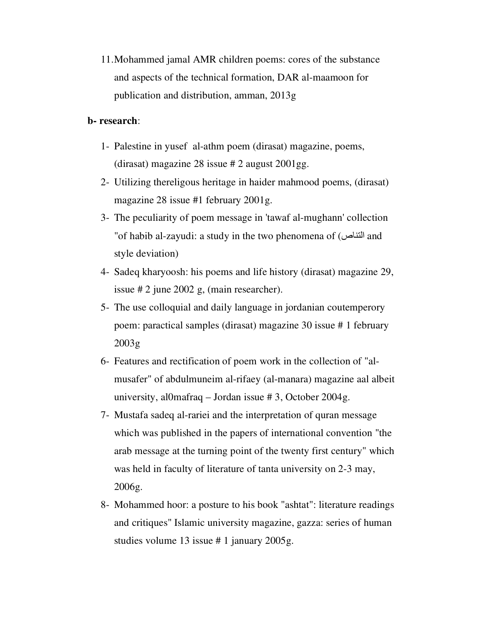11.Mohammed jamal AMR children poems: cores of the substance and aspects of the technical formation, DAR al-maamoon for publication and distribution, amman, 2013g

#### **b- research**:

- 1- Palestine in yusef al-athm poem (dirasat) magazine, poems, (dirasat) magazine 28 issue # 2 august 2001gg.
- 2- Utilizing thereligous heritage in haider mahmood poems, (dirasat) magazine 28 issue #1 february 2001g.
- 3- The peculiarity of poem message in 'tawaf al-mughann' collection "of habib al-zayudi: a study in the two phenomena of (التناص and style deviation)
- 4- Sadeq kharyoosh: his poems and life history (dirasat) magazine 29, issue # 2 june 2002 g, (main researcher).
- 5- The use colloquial and daily language in jordanian coutemperory poem: paractical samples (dirasat) magazine 30 issue # 1 february 2003g
- 6- Features and rectification of poem work in the collection of "almusafer" of abdulmuneim al-rifaey (al-manara) magazine aal albeit university, al0mafraq – Jordan issue # 3, October 2004g.
- 7- Mustafa sadeq al-rariei and the interpretation of quran message which was published in the papers of international convention "the arab message at the turning point of the twenty first century" which was held in faculty of literature of tanta university on 2-3 may, 2006g.
- 8- Mohammed hoor: a posture to his book "ashtat": literature readings and critiques" Islamic university magazine, gazza: series of human studies volume 13 issue # 1 january 2005g.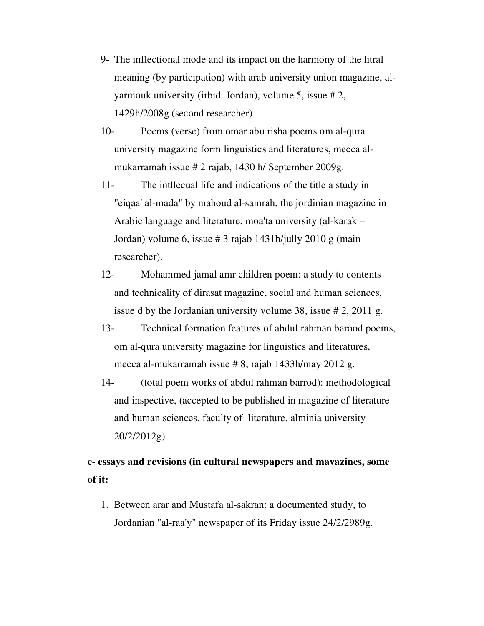- 9- The inflectional mode and its impact on the harmony of the litral meaning (by participation) with arab university union magazine, alyarmouk university (irbid Jordan), volume 5, issue # 2, 1429h/2008g (second researcher)
- 10- Poems (verse) from omar abu risha poems om al-qura university magazine form linguistics and literatures, mecca almukarramah issue # 2 rajab, 1430 h/ September 2009g.
- 11- The intllecual life and indications of the title a study in "eiqaa' al-mada" by mahoud al-samrah, the jordinian magazine in Arabic language and literature, moa'ta university (al-karak – Jordan) volume 6, issue # 3 rajab 1431h/jully 2010 g (main researcher).
- 12- Mohammed jamal amr children poem: a study to contents and technicality of dirasat magazine, social and human sciences, issue d by the Jordanian university volume 38, issue # 2, 2011 g.
- 13- Technical formation features of abdul rahman barood poems, om al-qura university magazine for linguistics and literatures, mecca al-mukarramah issue # 8, rajab 1433h/may 2012 g.
- 14- (total poem works of abdul rahman barrod): methodological and inspective, (accepted to be published in magazine of literature and human sciences, faculty of literature, alminia university 20/2/2012g).

# **c- essays and revisions (in cultural newspapers and mavazines, some of it:**

1. Between arar and Mustafa al-sakran: a documented study, to Jordanian "al-raa'y" newspaper of its Friday issue 24/2/2989g.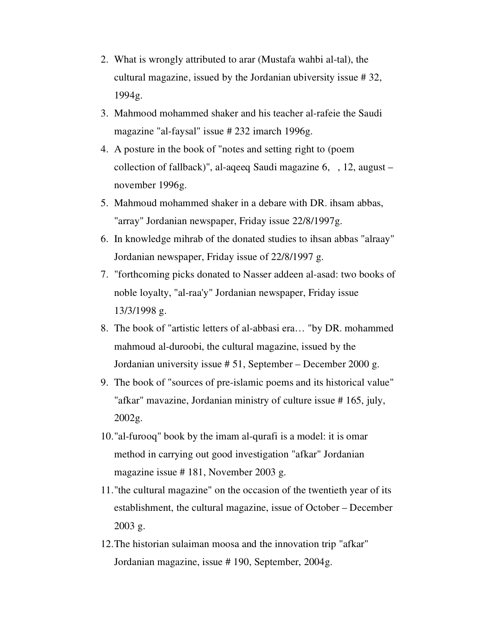- 2. What is wrongly attributed to arar (Mustafa wahbi al-tal), the cultural magazine, issued by the Jordanian ubiversity issue # 32, 1994g.
- 3. Mahmood mohammed shaker and his teacher al-rafeie the Saudi magazine "al-faysal" issue # 232 imarch 1996g.
- 4. A posture in the book of "notes and setting right to (poem collection of fallback)", al-aqeeq Saudi magazine 6, , 12, august – november 1996g.
- 5. Mahmoud mohammed shaker in a debare with DR. ihsam abbas, "array" Jordanian newspaper, Friday issue 22/8/1997g.
- 6. In knowledge mihrab of the donated studies to ihsan abbas "alraay" Jordanian newspaper, Friday issue of 22/8/1997 g.
- 7. "forthcoming picks donated to Nasser addeen al-asad: two books of noble loyalty, "al-raa'y" Jordanian newspaper, Friday issue 13/3/1998 g.
- 8. The book of "artistic letters of al-abbasi era… "by DR. mohammed mahmoud al-duroobi, the cultural magazine, issued by the Jordanian university issue # 51, September – December 2000 g.
- 9. The book of "sources of pre-islamic poems and its historical value" "afkar" mavazine, Jordanian ministry of culture issue # 165, july, 2002g.
- 10."al-furooq" book by the imam al-qurafi is a model: it is omar method in carrying out good investigation "afkar" Jordanian magazine issue # 181, November 2003 g.
- 11."the cultural magazine" on the occasion of the twentieth year of its establishment, the cultural magazine, issue of October – December 2003 g.
- 12.The historian sulaiman moosa and the innovation trip "afkar" Jordanian magazine, issue # 190, September, 2004g.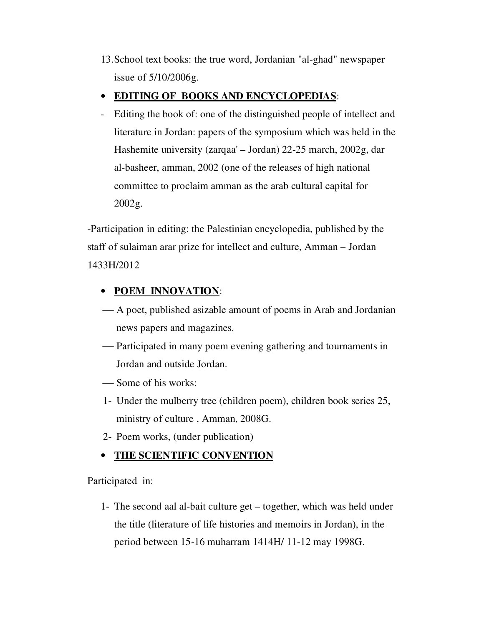13.School text books: the true word, Jordanian "al-ghad" newspaper issue of 5/10/2006g.

### • **EDITING OF BOOKS AND ENCYCLOPEDIAS**:

- Editing the book of: one of the distinguished people of intellect and literature in Jordan: papers of the symposium which was held in the Hashemite university (zarqaa' – Jordan) 22-25 march, 2002g, dar al-basheer, amman, 2002 (one of the releases of high national committee to proclaim amman as the arab cultural capital for 2002g.

-Participation in editing: the Palestinian encyclopedia, published by the staff of sulaiman arar prize for intellect and culture, Amman – Jordan 1433H/2012

## • **POEM INNOVATION**:

- A poet, published asizable amount of poems in Arab and Jordanian news papers and magazines.
- Participated in many poem evening gathering and tournaments in Jordan and outside Jordan.
- Some of his works:
- 1- Under the mulberry tree (children poem), children book series 25, ministry of culture , Amman, 2008G.
- 2- Poem works, (under publication)

# • **THE SCIENTIFIC CONVENTION**

Participated in:

1- The second aal al-bait culture get – together, which was held under the title (literature of life histories and memoirs in Jordan), in the period between 15-16 muharram 1414H/ 11-12 may 1998G.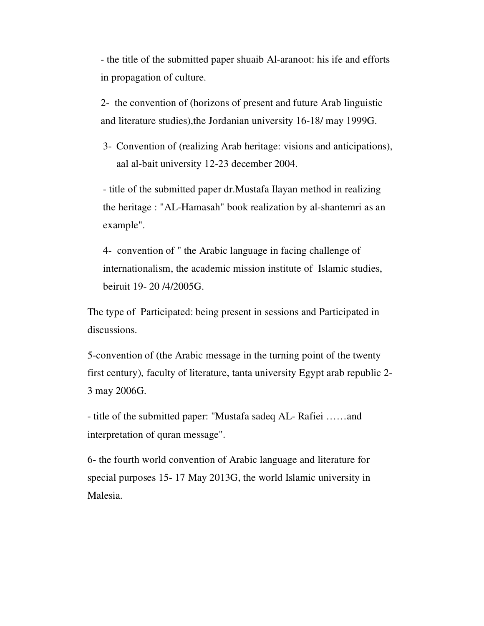- the title of the submitted paper shuaib Al-aranoot: his ife and efforts in propagation of culture.

2- the convention of (horizons of present and future Arab linguistic and literature studies),the Jordanian university 16-18/ may 1999G.

3- Convention of (realizing Arab heritage: visions and anticipations), aal al-bait university 12-23 december 2004.

- title of the submitted paper dr.Mustafa Ilayan method in realizing the heritage : "AL-Hamasah" book realization by al-shantemri as an example".

4- convention of " the Arabic language in facing challenge of internationalism, the academic mission institute of Islamic studies, beiruit 19- 20 /4/2005G.

The type of Participated: being present in sessions and Participated in discussions.

5-convention of (the Arabic message in the turning point of the twenty first century), faculty of literature, tanta university Egypt arab republic 2- 3 may 2006G.

- title of the submitted paper: "Mustafa sadeq AL- Rafiei ……and interpretation of quran message".

6- the fourth world convention of Arabic language and literature for special purposes 15- 17 May 2013G, the world Islamic university in Malesia.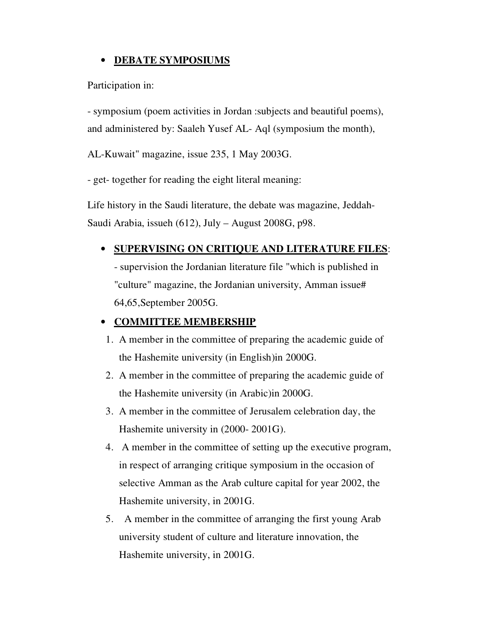### • **DEBATE SYMPOSIUMS**

Participation in:

- symposium (poem activities in Jordan :subjects and beautiful poems), and administered by: Saaleh Yusef AL- Aql (symposium the month),

AL-Kuwait" magazine, issue 235, 1 May 2003G.

- get- together for reading the eight literal meaning:

Life history in the Saudi literature, the debate was magazine, Jeddah-Saudi Arabia, issueh (612), July – August 2008G, p98.

### • **SUPERVISING ON CRITIQUE AND LITERATURE FILES**:

- supervision the Jordanian literature file "which is published in "culture" magazine, the Jordanian university, Amman issue# 64,65,September 2005G.

### • **COMMITTEE MEMBERSHIP**

- 1. A member in the committee of preparing the academic guide of the Hashemite university (in English)in 2000G.
- 2. A member in the committee of preparing the academic guide of the Hashemite university (in Arabic)in 2000G.
- 3. A member in the committee of Jerusalem celebration day, the Hashemite university in (2000- 2001G).
- 4. A member in the committee of setting up the executive program, in respect of arranging critique symposium in the occasion of selective Amman as the Arab culture capital for year 2002, the Hashemite university, in 2001G.
- 5. A member in the committee of arranging the first young Arab university student of culture and literature innovation, the Hashemite university, in 2001G.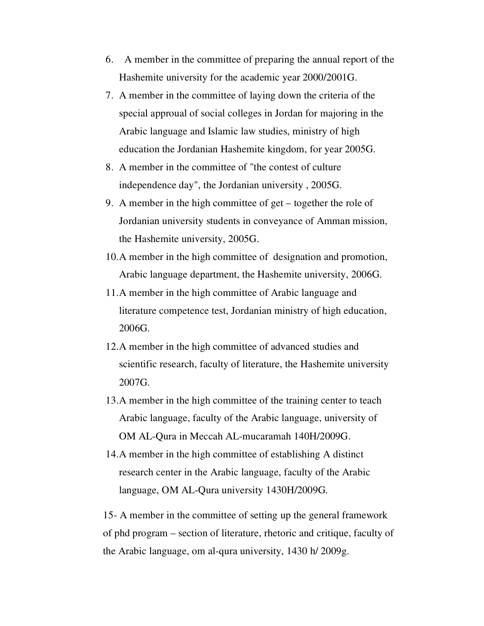- 6. A member in the committee of preparing the annual report of the Hashemite university for the academic year 2000/2001G.
- 7. A member in the committee of laying down the criteria of the special approual of social colleges in Jordan for majoring in the Arabic language and Islamic law studies, ministry of high education the Jordanian Hashemite kingdom, for year 2005G.
- 8. A member in the committee of "the contest of culture independence day", the Jordanian university , 2005G.
- 9. A member in the high committee of get together the role of Jordanian university students in conveyance of Amman mission, the Hashemite university, 2005G.
- 10.A member in the high committee of designation and promotion, Arabic language department, the Hashemite university, 2006G.
- 11.A member in the high committee of Arabic language and literature competence test, Jordanian ministry of high education, 2006G.
- 12.A member in the high committee of advanced studies and scientific research, faculty of literature, the Hashemite university 2007G.
- 13.A member in the high committee of the training center to teach Arabic language, faculty of the Arabic language, university of OM AL-Qura in Meccah AL-mucaramah 140H/2009G.
- 14.A member in the high committee of establishing A distinct research center in the Arabic language, faculty of the Arabic language, OM AL-Qura university 1430H/2009G.

15- A member in the committee of setting up the general framework of phd program – section of literature, rhetoric and critique, faculty of the Arabic language, om al-qura university, 1430 h/ 2009g.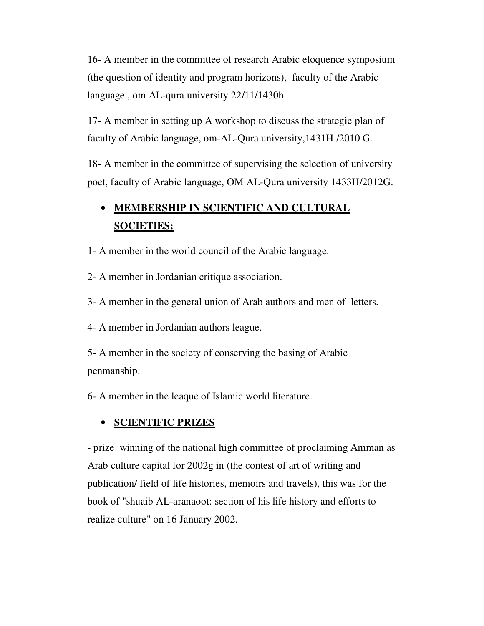16- A member in the committee of research Arabic eloquence symposium (the question of identity and program horizons), faculty of the Arabic language , om AL-qura university 22/11/1430h.

17- A member in setting up A workshop to discuss the strategic plan of faculty of Arabic language, om-AL-Qura university,1431H /2010 G.

18- A member in the committee of supervising the selection of university poet, faculty of Arabic language, OM AL-Qura university 1433H/2012G.

# • **MEMBERSHIP IN SCIENTIFIC AND CULTURAL SOCIETIES:**

- 1- A member in the world council of the Arabic language.
- 2- A member in Jordanian critique association.
- 3- A member in the general union of Arab authors and men of letters.
- 4- A member in Jordanian authors league.
- 5- A member in the society of conserving the basing of Arabic penmanship.
- 6- A member in the leaque of Islamic world literature.

#### • **SCIENTIFIC PRIZES**

- prize winning of the national high committee of proclaiming Amman as Arab culture capital for 2002g in (the contest of art of writing and publication/ field of life histories, memoirs and travels), this was for the book of "shuaib AL-aranaoot: section of his life history and efforts to realize culture" on 16 January 2002.